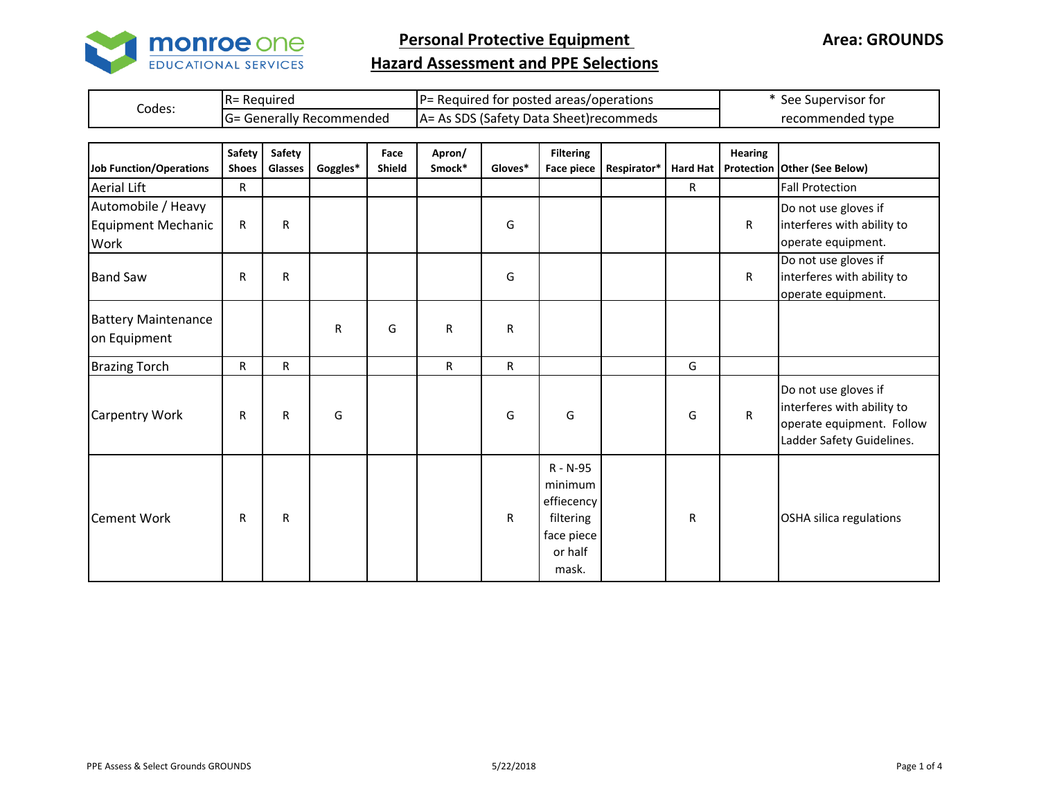

**Area: GROUNDS**

## **Hazard Assessment and PPE Selections**

|        | IR= Reauired                     | IP= Required for posted areas/operations | See Supervisor for |
|--------|----------------------------------|------------------------------------------|--------------------|
| Codes: | <b>IG= Generally Recommended</b> | A = As SDS (Safety Data Sheet) recommeds | recommended type   |

| <b>Job Function/Operations</b>                   | Safety<br><b>Shoes</b> | Safety<br>Glasses | Goggles* | Face<br><b>Shield</b> | Apron/<br>Smock* | Gloves* | <b>Filtering</b><br><b>Face piece</b>                                            | Respirator* |              | <b>Hearing</b> | Hard Hat   Protection   Other (See Below)                                                                    |
|--------------------------------------------------|------------------------|-------------------|----------|-----------------------|------------------|---------|----------------------------------------------------------------------------------|-------------|--------------|----------------|--------------------------------------------------------------------------------------------------------------|
| <b>Aerial Lift</b>                               | R.                     |                   |          |                       |                  |         |                                                                                  |             | $\mathsf{R}$ |                | <b>Fall Protection</b>                                                                                       |
| Automobile / Heavy<br>Equipment Mechanic<br>Work | R                      | ${\sf R}$         |          |                       |                  | G       |                                                                                  |             |              | R              | Do not use gloves if<br>interferes with ability to<br>operate equipment.                                     |
| <b>Band Saw</b>                                  | R                      | ${\sf R}$         |          |                       |                  | G       |                                                                                  |             |              | R              | Do not use gloves if<br>interferes with ability to<br>operate equipment.                                     |
| <b>Battery Maintenance</b><br>on Equipment       |                        |                   | R        | G                     | R                | R       |                                                                                  |             |              |                |                                                                                                              |
| <b>Brazing Torch</b>                             | R                      | $\mathsf R$       |          |                       | R.               | R       |                                                                                  |             | G            |                |                                                                                                              |
| <b>Carpentry Work</b>                            | $\mathsf{R}$           | $\mathsf{R}$      | G        |                       |                  | G       | G                                                                                |             | G            | R              | Do not use gloves if<br>interferes with ability to<br>operate equipment. Follow<br>Ladder Safety Guidelines. |
| <b>Cement Work</b>                               | $\mathsf{R}$           | ${\sf R}$         |          |                       |                  | R       | R - N-95<br>minimum<br>effiecency<br>filtering<br>face piece<br>or half<br>mask. |             | R.           |                | OSHA silica regulations                                                                                      |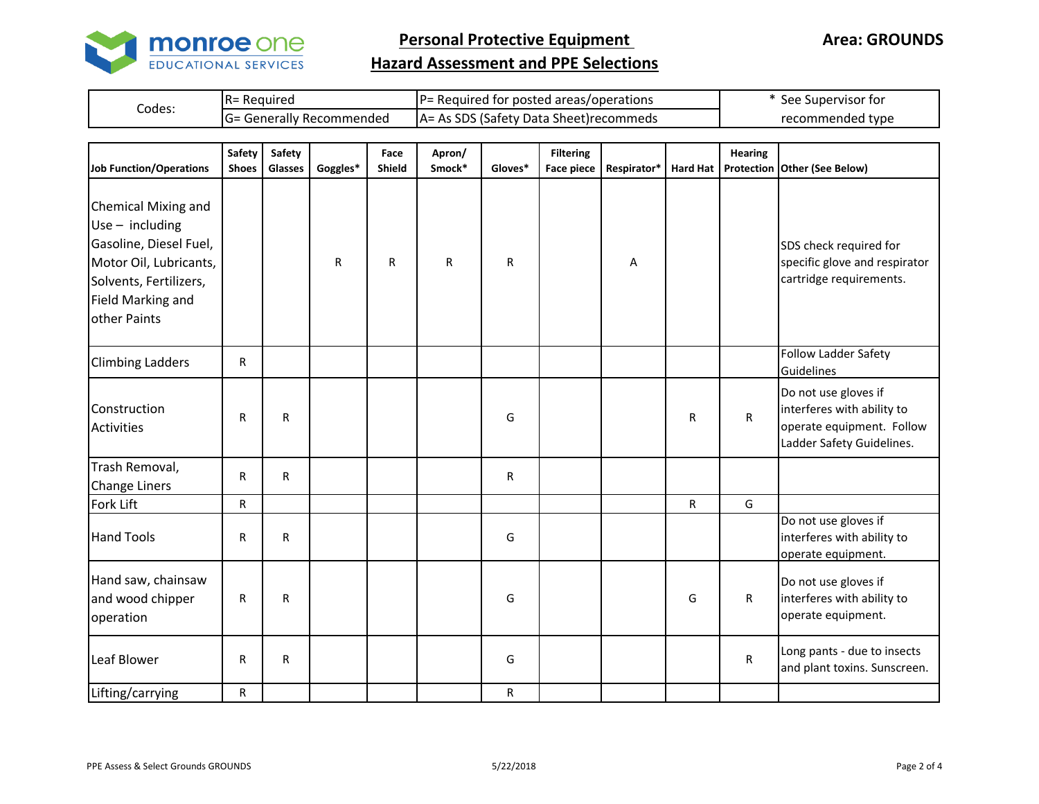

**Area: GROUNDS**

## **Hazard Assessment and PPE Selections**

|        | Required<br><u>__</u>          | I D-<br>I for posted areas/operations<br>Required | : Supervisor for<br>see |
|--------|--------------------------------|---------------------------------------------------|-------------------------|
| Codes: | - Generally Recommended<br>IG= | s SDS (Safety Data Sheet)recommeds<br>As.<br>IA=  | recommended type        |

| Job Function/Operations                                                                                                                                            | Safety<br><b>Shoes</b> | <b>Safety</b><br>Glasses | Goggles* | Face<br><b>Shield</b> | Apron/<br>Smock* | Gloves*      | <b>Filtering</b><br>Face piece | Respirator* | <b>Hard Hat</b> | <b>Hearing</b><br>Protection | Other (See Below)                                                                                            |
|--------------------------------------------------------------------------------------------------------------------------------------------------------------------|------------------------|--------------------------|----------|-----------------------|------------------|--------------|--------------------------------|-------------|-----------------|------------------------------|--------------------------------------------------------------------------------------------------------------|
| <b>Chemical Mixing and</b><br>$Use - including$<br>Gasoline, Diesel Fuel,<br>Motor Oil, Lubricants,<br>Solvents, Fertilizers,<br>Field Marking and<br>other Paints |                        |                          | R        | R                     | R                | $\mathsf{R}$ |                                | A           |                 |                              | SDS check required for<br>specific glove and respirator<br>cartridge requirements.                           |
| <b>Climbing Ladders</b>                                                                                                                                            | R                      |                          |          |                       |                  |              |                                |             |                 |                              | <b>Follow Ladder Safety</b><br>Guidelines                                                                    |
| Construction<br><b>Activities</b>                                                                                                                                  | R                      | R                        |          |                       |                  | G            |                                |             | R               | $\mathsf R$                  | Do not use gloves if<br>interferes with ability to<br>operate equipment. Follow<br>Ladder Safety Guidelines. |
| Trash Removal,<br><b>Change Liners</b>                                                                                                                             | R                      | $\mathsf{R}$             |          |                       |                  | R            |                                |             |                 |                              |                                                                                                              |
| Fork Lift                                                                                                                                                          | R                      |                          |          |                       |                  |              |                                |             | $\mathsf R$     | G                            |                                                                                                              |
| <b>Hand Tools</b>                                                                                                                                                  | R                      | $\mathsf{R}$             |          |                       |                  | G            |                                |             |                 |                              | Do not use gloves if<br>interferes with ability to<br>operate equipment.                                     |
| Hand saw, chainsaw<br>and wood chipper<br>operation                                                                                                                | R                      | R                        |          |                       |                  | G            |                                |             | G               | $\mathsf R$                  | Do not use gloves if<br>interferes with ability to<br>operate equipment.                                     |
| Leaf Blower                                                                                                                                                        | R                      | $\mathsf{R}$             |          |                       |                  | G            |                                |             |                 | R                            | Long pants - due to insects<br>and plant toxins. Sunscreen.                                                  |
| Lifting/carrying                                                                                                                                                   | R                      |                          |          |                       |                  | R            |                                |             |                 |                              |                                                                                                              |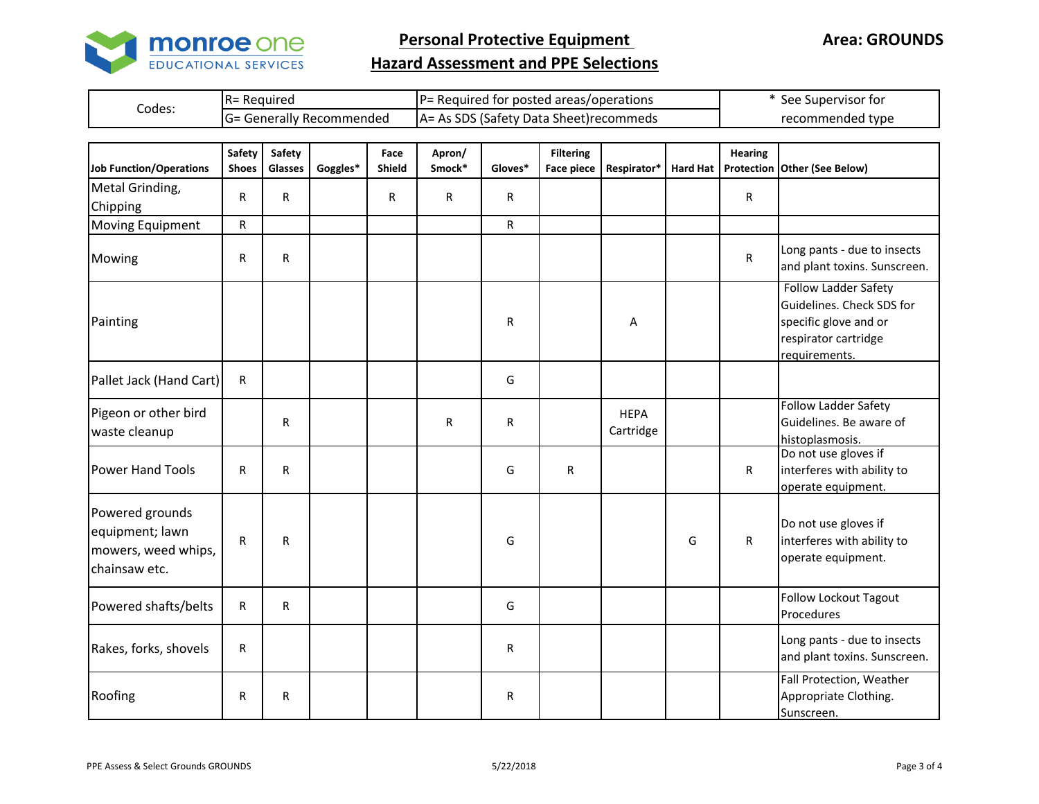

**Area: GROUNDS**

## **Hazard Assessment and PPE Selections**

|        | $R =$<br>Reguired              | d for posted areas/operations<br>Reauired<br>$\overline{\phantom{0}}$ | See Supervisor for |
|--------|--------------------------------|-----------------------------------------------------------------------|--------------------|
| Codes: | : Generally Recommended<br>lG= | s SDS (Safety Data Sheet)recommeds<br>As.<br>IA=                      | recommended type   |

| <b>Job Function/Operations</b>                                             | Safety<br><b>Shoes</b> | Safety<br>Glasses | Goggles* | Face<br>Shield | Apron/<br>Smock* | Gloves*     | <b>Filtering</b><br><b>Face piece</b> | Respirator*              |   | <b>Hearing</b> | Hard Hat   Protection   Other (See Below)                                                                           |
|----------------------------------------------------------------------------|------------------------|-------------------|----------|----------------|------------------|-------------|---------------------------------------|--------------------------|---|----------------|---------------------------------------------------------------------------------------------------------------------|
| Metal Grinding,<br>Chipping                                                | R                      | $\mathsf{R}$      |          | R              | R                | R           |                                       |                          |   | R              |                                                                                                                     |
| <b>Moving Equipment</b>                                                    | $\mathsf R$            |                   |          |                |                  | $\mathsf R$ |                                       |                          |   |                |                                                                                                                     |
| Mowing                                                                     | $\mathsf{R}$           | ${\sf R}$         |          |                |                  |             |                                       |                          |   | R              | Long pants - due to insects<br>and plant toxins. Sunscreen.                                                         |
| Painting                                                                   |                        |                   |          |                |                  | R           |                                       | Α                        |   |                | Follow Ladder Safety<br>Guidelines. Check SDS for<br>specific glove and or<br>respirator cartridge<br>requirements. |
| Pallet Jack (Hand Cart)                                                    | R                      |                   |          |                |                  | G           |                                       |                          |   |                |                                                                                                                     |
| Pigeon or other bird<br>waste cleanup                                      |                        | $\mathsf{R}$      |          |                | $\mathsf{R}$     | R           |                                       | <b>HEPA</b><br>Cartridge |   |                | <b>Follow Ladder Safety</b><br>Guidelines. Be aware of<br>histoplasmosis.                                           |
| <b>Power Hand Tools</b>                                                    | $\mathsf{R}$           | $\mathsf{R}$      |          |                |                  | G           | R                                     |                          |   | R              | Do not use gloves if<br>interferes with ability to<br>operate equipment.                                            |
| Powered grounds<br>equipment; lawn<br>mowers, weed whips,<br>chainsaw etc. | R                      | R                 |          |                |                  | G           |                                       |                          | G | R              | Do not use gloves if<br>interferes with ability to<br>operate equipment.                                            |
| Powered shafts/belts                                                       | R                      | $\mathsf R$       |          |                |                  | G           |                                       |                          |   |                | <b>Follow Lockout Tagout</b><br>Procedures                                                                          |
| Rakes, forks, shovels                                                      | $\mathsf{R}$           |                   |          |                |                  | R           |                                       |                          |   |                | Long pants - due to insects<br>and plant toxins. Sunscreen.                                                         |
| Roofing                                                                    | R                      | R                 |          |                |                  | R           |                                       |                          |   |                | Fall Protection, Weather<br>Appropriate Clothing.<br>Sunscreen.                                                     |